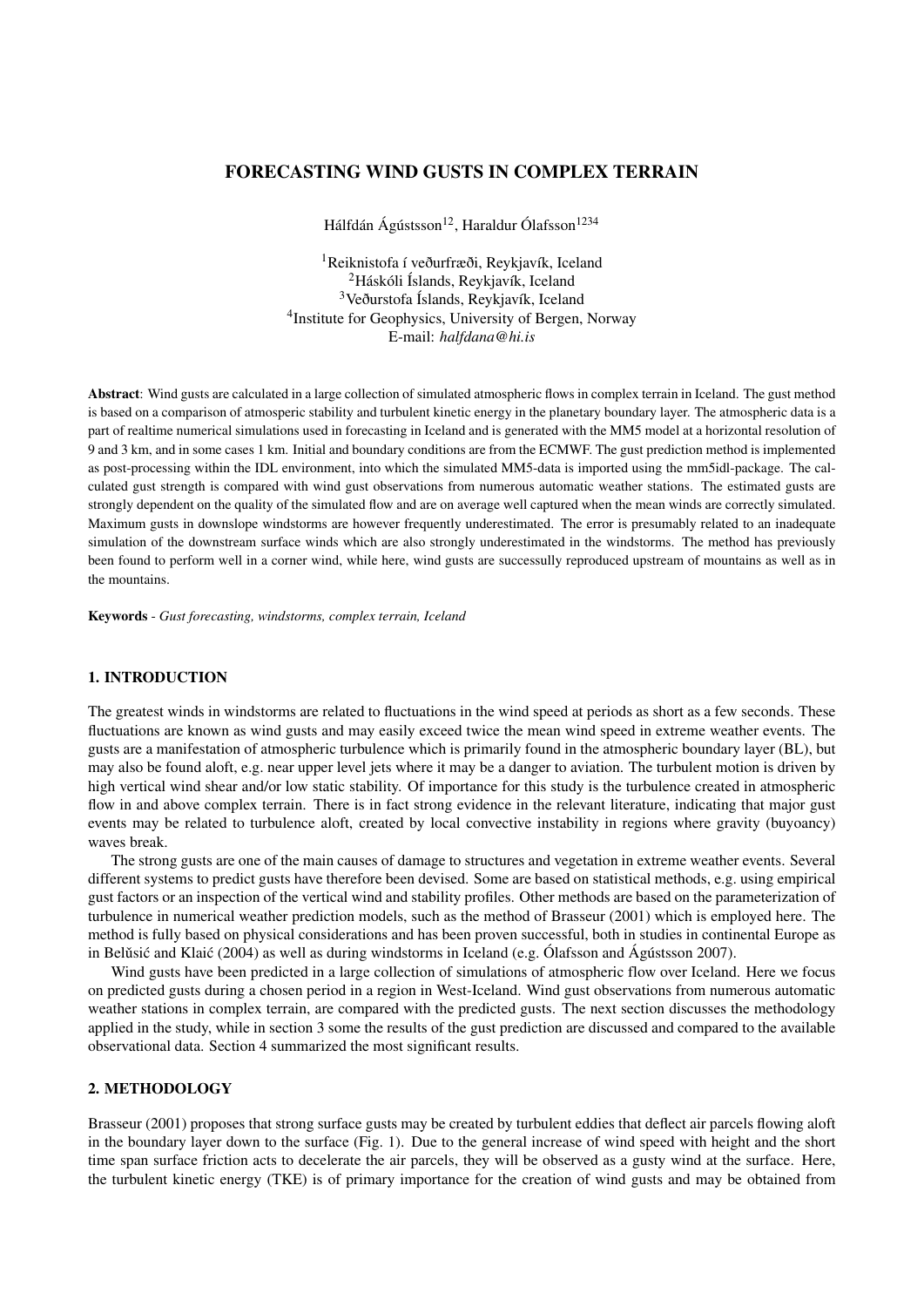# FORECASTING WIND GUSTS IN COMPLEX TERRAIN

Hálfdán Ágústsson<sup>12</sup>, Haraldur Ólafsson<sup>1234</sup>

<sup>1</sup>Reiknistofa í veðurfræði, Reykjavík, Iceland <sup>2</sup>Háskóli Íslands, Reykjavík, Iceland <sup>3</sup>Veðurstofa Íslands, Reykjavík, Iceland <sup>4</sup>Institute for Geophysics, University of Bergen, Norway E-mail: *halfdana@hi.is*

Abstract: Wind gusts are calculated in a large collection of simulated atmospheric flows in complex terrain in Iceland. The gust method is based on a comparison of atmosperic stability and turbulent kinetic energy in the planetary boundary layer. The atmospheric data is a part of realtime numerical simulations used in forecasting in Iceland and is generated with the MM5 model at a horizontal resolution of 9 and 3 km, and in some cases 1 km. Initial and boundary conditions are from the ECMWF. The gust prediction method is implemented as post-processing within the IDL environment, into which the simulated MM5-data is imported using the mm5idl-package. The calculated gust strength is compared with wind gust observations from numerous automatic weather stations. The estimated gusts are strongly dependent on the quality of the simulated flow and are on average well captured when the mean winds are correctly simulated. Maximum gusts in downslope windstorms are however frequently underestimated. The error is presumably related to an inadequate simulation of the downstream surface winds which are also strongly underestimated in the windstorms. The method has previously been found to perform well in a corner wind, while here, wind gusts are successully reproduced upstream of mountains as well as in the mountains.

Keywords - *Gust forecasting, windstorms, complex terrain, Iceland*

## 1. INTRODUCTION

The greatest winds in windstorms are related to fluctuations in the wind speed at periods as short as a few seconds. These fluctuations are known as wind gusts and may easily exceed twice the mean wind speed in extreme weather events. The gusts are a manifestation of atmospheric turbulence which is primarily found in the atmospheric boundary layer (BL), but may also be found aloft, e.g. near upper level jets where it may be a danger to aviation. The turbulent motion is driven by high vertical wind shear and/or low static stability. Of importance for this study is the turbulence created in atmospheric flow in and above complex terrain. There is in fact strong evidence in the relevant literature, indicating that major gust events may be related to turbulence aloft, created by local convective instability in regions where gravity (buyoancy) waves break.

The strong gusts are one of the main causes of damage to structures and vegetation in extreme weather events. Several different systems to predict gusts have therefore been devised. Some are based on statistical methods, e.g. using empirical gust factors or an inspection of the vertical wind and stability profiles. Other methods are based on the parameterization of turbulence in numerical weather prediction models, such as the method of Brasseur (2001) which is employed here. The method is fully based on physical considerations and has been proven successful, both in studies in continental Europe as in Belusić and Klaić  $(2004)$  as well as during windstorms in Iceland (e.g. Ólafsson and Ágústsson 2007).

Wind gusts have been predicted in a large collection of simulations of atmospheric flow over Iceland. Here we focus on predicted gusts during a chosen period in a region in West-Iceland. Wind gust observations from numerous automatic weather stations in complex terrain, are compared with the predicted gusts. The next section discusses the methodology applied in the study, while in section 3 some the results of the gust prediction are discussed and compared to the available observational data. Section 4 summarized the most significant results.

### 2. METHODOLOGY

Brasseur (2001) proposes that strong surface gusts may be created by turbulent eddies that deflect air parcels flowing aloft in the boundary layer down to the surface (Fig. 1). Due to the general increase of wind speed with height and the short time span surface friction acts to decelerate the air parcels, they will be observed as a gusty wind at the surface. Here, the turbulent kinetic energy (TKE) is of primary importance for the creation of wind gusts and may be obtained from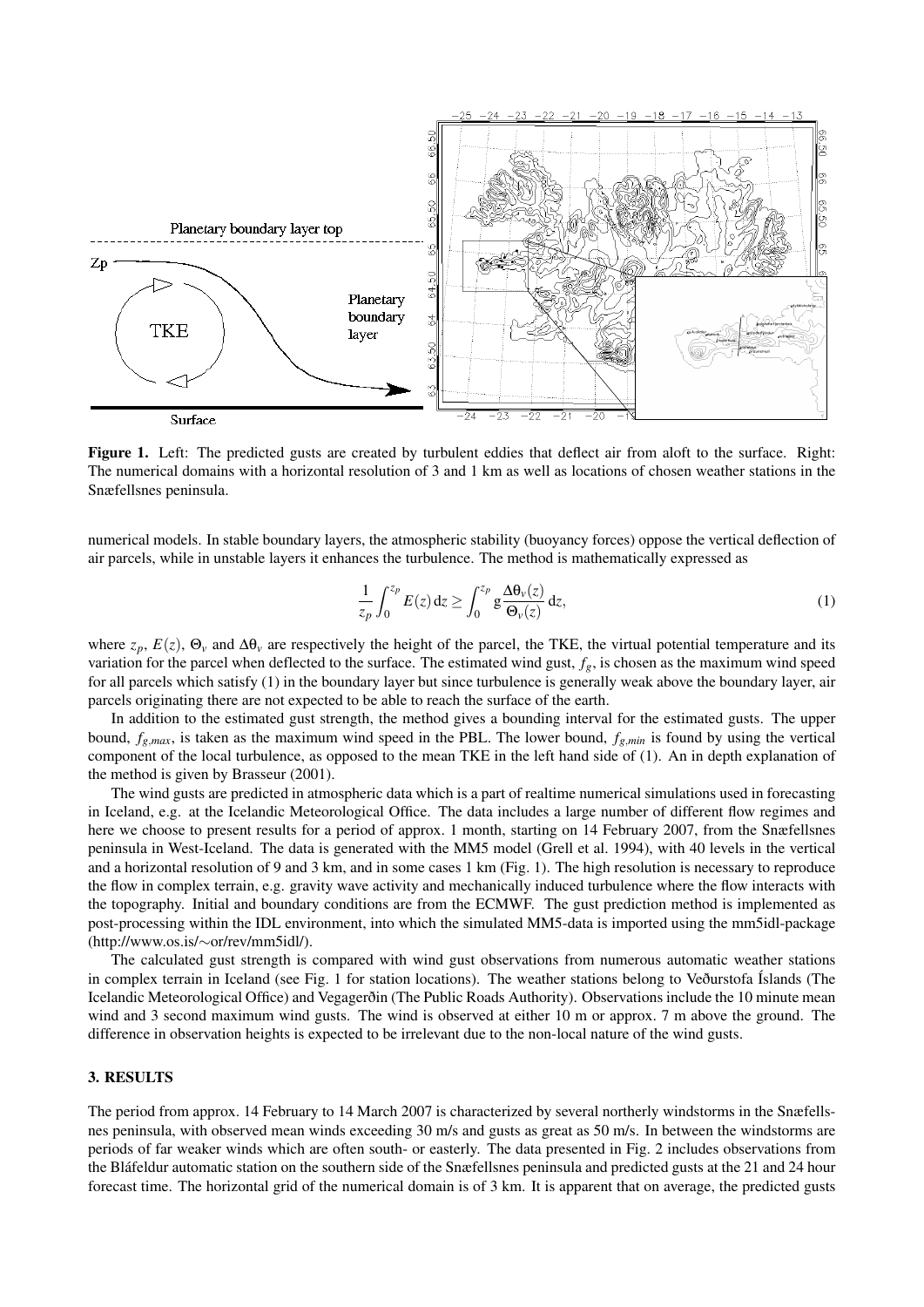

Figure 1. Left: The predicted gusts are created by turbulent eddies that deflect air from aloft to the surface. Right: The numerical domains with a horizontal resolution of 3 and 1 km as well as locations of chosen weather stations in the Snæfellsnes peninsula.

numerical models. In stable boundary layers, the atmospheric stability (buoyancy forces) oppose the vertical deflection of air parcels, while in unstable layers it enhances the turbulence. The method is mathematically expressed as

$$
\frac{1}{z_p} \int_0^{z_p} E(z) dz \ge \int_0^{z_p} g \frac{\Delta \theta_v(z)}{\Theta_v(z)} dz,
$$
\n(1)

where  $z_p$ ,  $E(z)$ ,  $\Theta_v$  and  $\Delta\theta_v$  are respectively the height of the parcel, the TKE, the virtual potential temperature and its variation for the parcel when deflected to the surface. The estimated wind gust, *fg*, is chosen as the maximum wind speed for all parcels which satisfy (1) in the boundary layer but since turbulence is generally weak above the boundary layer, air parcels originating there are not expected to be able to reach the surface of the earth.

In addition to the estimated gust strength, the method gives a bounding interval for the estimated gusts. The upper bound,  $f_{g,max}$ , is taken as the maximum wind speed in the PBL. The lower bound,  $f_{g,min}$  is found by using the vertical component of the local turbulence, as opposed to the mean TKE in the left hand side of (1). An in depth explanation of the method is given by Brasseur (2001).

The wind gusts are predicted in atmospheric data which is a part of realtime numerical simulations used in forecasting in Iceland, e.g. at the Icelandic Meteorological Office. The data includes a large number of different flow regimes and here we choose to present results for a period of approx. 1 month, starting on 14 February 2007, from the Snæfellsnes peninsula in West-Iceland. The data is generated with the MM5 model (Grell et al. 1994), with 40 levels in the vertical and a horizontal resolution of 9 and 3 km, and in some cases 1 km (Fig. 1). The high resolution is necessary to reproduce the flow in complex terrain, e.g. gravity wave activity and mechanically induced turbulence where the flow interacts with the topography. Initial and boundary conditions are from the ECMWF. The gust prediction method is implemented as post-processing within the IDL environment, into which the simulated MM5-data is imported using the mm5idl-package (http://www.os.is/∼or/rev/mm5idl/).

The calculated gust strength is compared with wind gust observations from numerous automatic weather stations in complex terrain in Iceland (see Fig. 1 for station locations). The weather stations belong to Veðurstofa Íslands (The Icelandic Meteorological Office) and Vegagerðin (The Public Roads Authority). Observations include the 10 minute mean wind and 3 second maximum wind gusts. The wind is observed at either 10 m or approx. 7 m above the ground. The difference in observation heights is expected to be irrelevant due to the non-local nature of the wind gusts.

## 3. RESULTS

The period from approx. 14 February to 14 March 2007 is characterized by several northerly windstorms in the Snæfellsnes peninsula, with observed mean winds exceeding 30 m/s and gusts as great as 50 m/s. In between the windstorms are periods of far weaker winds which are often south- or easterly. The data presented in Fig. 2 includes observations from the Bláfeldur automatic station on the southern side of the Snæfellsnes peninsula and predicted gusts at the 21 and 24 hour forecast time. The horizontal grid of the numerical domain is of 3 km. It is apparent that on average, the predicted gusts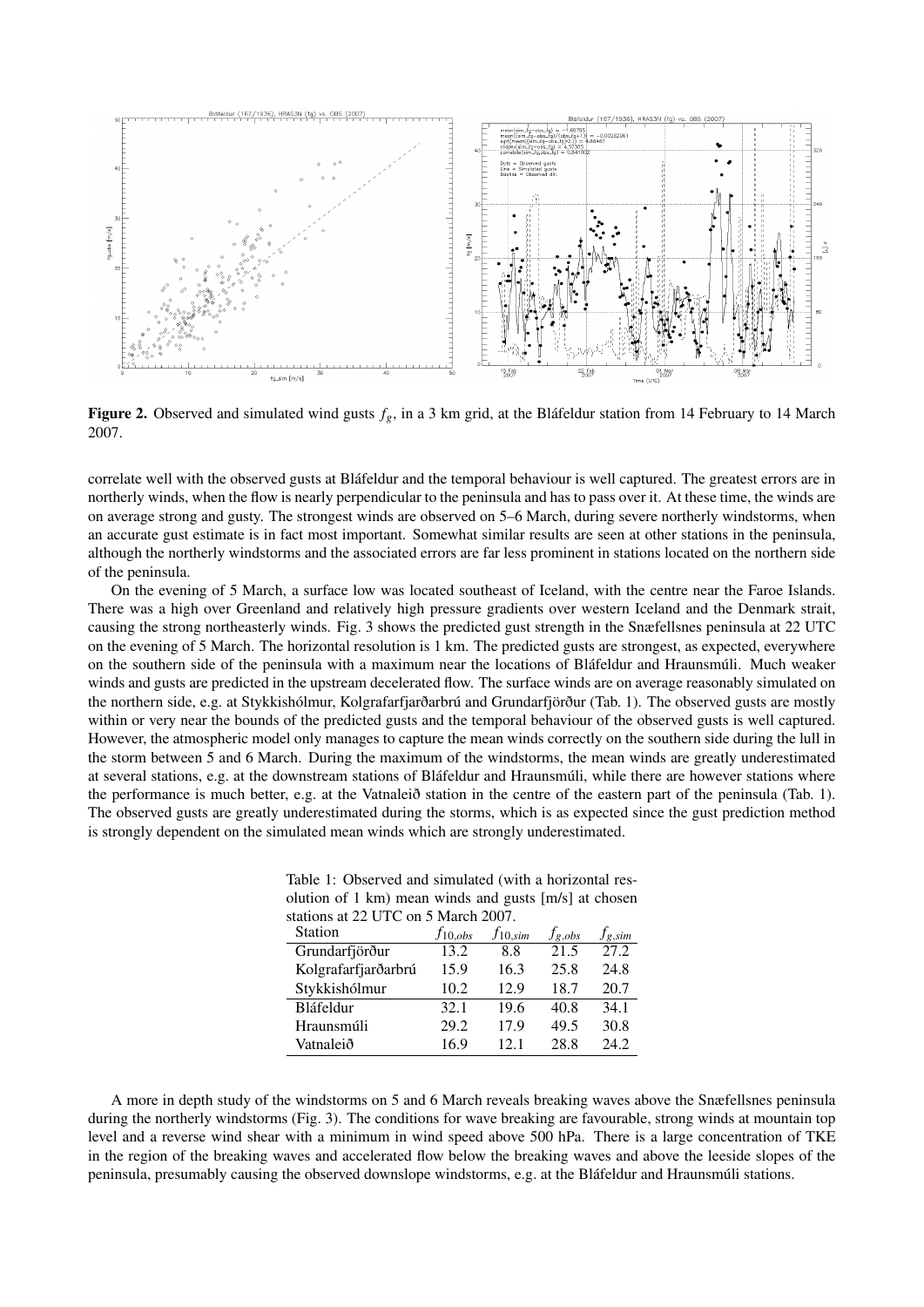

Figure 2. Observed and simulated wind gusts  $f_g$ , in a 3 km grid, at the Bláfeldur station from 14 February to 14 March 2007.

correlate well with the observed gusts at Bláfeldur and the temporal behaviour is well captured. The greatest errors are in northerly winds, when the flow is nearly perpendicular to the peninsula and has to pass over it. At these time, the winds are on average strong and gusty. The strongest winds are observed on 5–6 March, during severe northerly windstorms, when an accurate gust estimate is in fact most important. Somewhat similar results are seen at other stations in the peninsula, although the northerly windstorms and the associated errors are far less prominent in stations located on the northern side of the peninsula.

On the evening of 5 March, a surface low was located southeast of Iceland, with the centre near the Faroe Islands. There was a high over Greenland and relatively high pressure gradients over western Iceland and the Denmark strait, causing the strong northeasterly winds. Fig. 3 shows the predicted gust strength in the Snæfellsnes peninsula at 22 UTC on the evening of 5 March. The horizontal resolution is 1 km. The predicted gusts are strongest, as expected, everywhere on the southern side of the peninsula with a maximum near the locations of Bláfeldur and Hraunsmúli. Much weaker winds and gusts are predicted in the upstream decelerated flow. The surface winds are on average reasonably simulated on the northern side, e.g. at Stykkishólmur, Kolgrafarfjarðarbrú and Grundarfjörður (Tab. 1). The observed gusts are mostly within or very near the bounds of the predicted gusts and the temporal behaviour of the observed gusts is well captured. However, the atmospheric model only manages to capture the mean winds correctly on the southern side during the lull in the storm between 5 and 6 March. During the maximum of the windstorms, the mean winds are greatly underestimated at several stations, e.g. at the downstream stations of Bláfeldur and Hraunsmúli, while there are however stations where the performance is much better, e.g. at the Vatnaleið station in the centre of the eastern part of the peninsula (Tab. 1). The observed gusts are greatly underestimated during the storms, which is as expected since the gust prediction method is strongly dependent on the simulated mean winds which are strongly underestimated.

| Table 1: Observed and simulated (with a horizontal res- |
|---------------------------------------------------------|
| olution of 1 km) mean winds and gusts [m/s] at chosen   |
| stations at 22 UTC on 5 March 2007.                     |

| $f_{10,obs}$ | $f_{10,sim}$ | $f_{g,obs}$                                            | $f_{g,sim}$ |
|--------------|--------------|--------------------------------------------------------|-------------|
| 13.2         | 8.8          | 21.5                                                   | 27.2        |
| 15.9         | 16.3         | 25.8                                                   | 24.8        |
| 10.2         | 12.9         | 18.7                                                   | 20.7        |
| 32.1         | 19.6         | 40.8                                                   | 34.1        |
| 29.2         | 17.9         | 49.5                                                   | 30.8        |
| 16.9         | 12.1         | 28.8                                                   | 24.2        |
|              |              | $\frac{1}{2}$ at $\frac{1}{2}$ 0 FC 0.1 9 in and 2007. |             |

A more in depth study of the windstorms on 5 and 6 March reveals breaking waves above the Snæfellsnes peninsula during the northerly windstorms (Fig. 3). The conditions for wave breaking are favourable, strong winds at mountain top level and a reverse wind shear with a minimum in wind speed above 500 hPa. There is a large concentration of TKE in the region of the breaking waves and accelerated flow below the breaking waves and above the leeside slopes of the peninsula, presumably causing the observed downslope windstorms, e.g. at the Bláfeldur and Hraunsmúli stations.